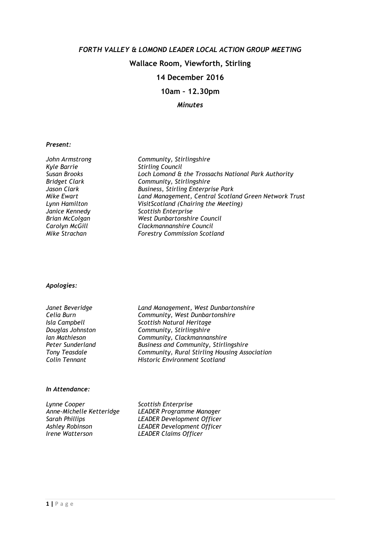## FORTH VALLEY & LOMOND LEADER LOCAL ACTION GROUP MEETING

## Wallace Room, Viewforth, Stirling

## 14 December 2016

10am – 12.30pm

# Minutes

#### Present:

| John Armstrong       | Community, Stirlingshire                              |
|----------------------|-------------------------------------------------------|
| Kyle Barrie          | <b>Stirling Council</b>                               |
| Susan Brooks         | Loch Lomond & the Trossachs National Park Authority   |
| <b>Bridget Clark</b> | Community, Stirlingshire                              |
| Jason Clark          | <b>Business, Stirling Enterprise Park</b>             |
| Mike Ewart           | Land Management, Central Scotland Green Network Trust |
| Lynn Hamilton        | VisitScotland (Chairing the Meeting)                  |
| Janice Kennedy       | Scottish Enterprise                                   |
| Brian McColgan       | West Dunbartonshire Council                           |
| Carolyn McGill       | Clackmannanshire Council                              |
| Mike Strachan        | <b>Forestry Commission Scotland</b>                   |

#### Apologies:

| Janet Beveridge      |
|----------------------|
| Celia Burn           |
| Isla Campbell        |
| Douglas Johnston     |
| lan Mathieson        |
| Peter Sunderland     |
| <b>Tony Teasdale</b> |
| Colin Tennant        |

Land Management, West Dunbartonshire Community, West Dunbartonshire Scottish Natural Heritage Community, Stirlingshire Community, Clackmannanshire Business and Community, Stirlingshire Community, Rural Stirling Housing Association Historic Environment Scotland

#### In Attendance:

Lynne Cooper<br>Anne-Michelle Ketteridge LEADER Programme

Anne-Michelle Ketteridge LEADER Programme Manager Sarah Phillips<br>
Ashley Robinson<br>
LEADER Development Officer Ashley Robinson **LEADER Development Officer**<br>
I LEADER Claims Officer LEADER Claims Officer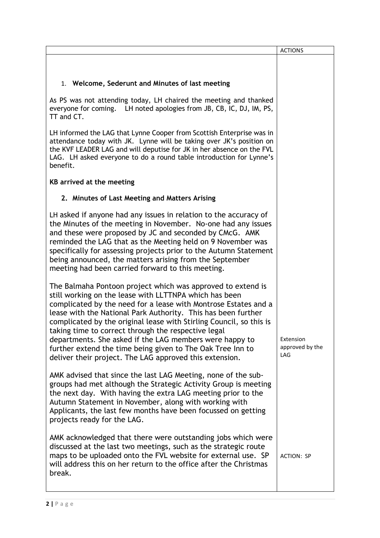|                                                                                                                                                                                                                                                                                                                                                                                                                                                                                                                                                                             | <b>ACTIONS</b>                      |
|-----------------------------------------------------------------------------------------------------------------------------------------------------------------------------------------------------------------------------------------------------------------------------------------------------------------------------------------------------------------------------------------------------------------------------------------------------------------------------------------------------------------------------------------------------------------------------|-------------------------------------|
| 1. Welcome, Sederunt and Minutes of last meeting                                                                                                                                                                                                                                                                                                                                                                                                                                                                                                                            |                                     |
|                                                                                                                                                                                                                                                                                                                                                                                                                                                                                                                                                                             |                                     |
| As PS was not attending today, LH chaired the meeting and thanked<br>everyone for coming. LH noted apologies from JB, CB, IC, DJ, IM, PS,<br>TT and CT.                                                                                                                                                                                                                                                                                                                                                                                                                     |                                     |
| LH informed the LAG that Lynne Cooper from Scottish Enterprise was in<br>attendance today with JK. Lynne will be taking over JK's position on<br>the KVF LEADER LAG and will deputise for JK in her absence on the FVL<br>LAG. LH asked everyone to do a round table introduction for Lynne's<br>benefit.                                                                                                                                                                                                                                                                   |                                     |
| KB arrived at the meeting                                                                                                                                                                                                                                                                                                                                                                                                                                                                                                                                                   |                                     |
| 2. Minutes of Last Meeting and Matters Arising                                                                                                                                                                                                                                                                                                                                                                                                                                                                                                                              |                                     |
| LH asked if anyone had any issues in relation to the accuracy of<br>the Minutes of the meeting in November. No-one had any issues<br>and these were proposed by JC and seconded by CMcG. AMK<br>reminded the LAG that as the Meeting held on 9 November was<br>specifically for assessing projects prior to the Autumn Statement<br>being announced, the matters arising from the September<br>meeting had been carried forward to this meeting.                                                                                                                            |                                     |
| The Balmaha Pontoon project which was approved to extend is<br>still working on the lease with LLTTNPA which has been<br>complicated by the need for a lease with Montrose Estates and a<br>lease with the National Park Authority. This has been further<br>complicated by the original lease with Stirling Council, so this is<br>taking time to correct through the respective legal<br>departments. She asked if the LAG members were happy to<br>further extend the time being given to The Oak Tree Inn to<br>deliver their project. The LAG approved this extension. | Extension<br>approved by the<br>LAG |
| AMK advised that since the last LAG Meeting, none of the sub-<br>groups had met although the Strategic Activity Group is meeting<br>the next day. With having the extra LAG meeting prior to the<br>Autumn Statement in November, along with working with<br>Applicants, the last few months have been focussed on getting<br>projects ready for the LAG.                                                                                                                                                                                                                   |                                     |
| AMK acknowledged that there were outstanding jobs which were<br>discussed at the last two meetings, such as the strategic route<br>maps to be uploaded onto the FVL website for external use. SP<br>will address this on her return to the office after the Christmas<br>break.                                                                                                                                                                                                                                                                                             | <b>ACTION: SP</b>                   |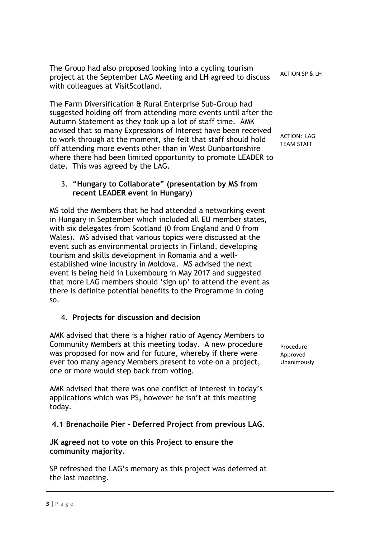| The Group had also proposed looking into a cycling tourism<br>project at the September LAG Meeting and LH agreed to discuss<br>with colleagues at VisitScotland.                                                                                                                                                                                                                                                                                                                                                                                                                                                                                         | <b>ACTION SP &amp; LH</b>            |
|----------------------------------------------------------------------------------------------------------------------------------------------------------------------------------------------------------------------------------------------------------------------------------------------------------------------------------------------------------------------------------------------------------------------------------------------------------------------------------------------------------------------------------------------------------------------------------------------------------------------------------------------------------|--------------------------------------|
| The Farm Diversification & Rural Enterprise Sub-Group had<br>suggested holding off from attending more events until after the<br>Autumn Statement as they took up a lot of staff time. AMK<br>advised that so many Expressions of Interest have been received<br>to work through at the moment, she felt that staff should hold<br>off attending more events other than in West Dunbartonshire<br>where there had been limited opportunity to promote LEADER to<br>date. This was agreed by the LAG.                                                                                                                                                     | ACTION: LAG<br><b>TEAM STAFF</b>     |
| 3. "Hungary to Collaborate" (presentation by MS from<br>recent LEADER event in Hungary)                                                                                                                                                                                                                                                                                                                                                                                                                                                                                                                                                                  |                                      |
| MS told the Members that he had attended a networking event<br>in Hungary in September which included all EU member states,<br>with six delegates from Scotland (0 from England and 0 from<br>Wales). MS advised that various topics were discussed at the<br>event such as environmental projects in Finland, developing<br>tourism and skills development in Romania and a well-<br>established wine industry in Moldova. MS advised the next<br>event is being held in Luxembourg in May 2017 and suggested<br>that more LAG members should 'sign up' to attend the event as<br>there is definite potential benefits to the Programme in doing<br>SO. |                                      |
| 4. Projects for discussion and decision                                                                                                                                                                                                                                                                                                                                                                                                                                                                                                                                                                                                                  |                                      |
| AMK advised that there is a higher ratio of Agency Members to<br>Community Members at this meeting today. A new procedure<br>was proposed for now and for future, whereby if there were<br>ever too many agency Members present to vote on a project,<br>one or more would step back from voting.                                                                                                                                                                                                                                                                                                                                                        | Procedure<br>Approved<br>Unanimously |
| AMK advised that there was one conflict of interest in today's<br>applications which was PS, however he isn't at this meeting<br>today.                                                                                                                                                                                                                                                                                                                                                                                                                                                                                                                  |                                      |
| 4.1 Brenachoile Pier - Deferred Project from previous LAG.                                                                                                                                                                                                                                                                                                                                                                                                                                                                                                                                                                                               |                                      |
| JK agreed not to vote on this Project to ensure the<br>community majority.                                                                                                                                                                                                                                                                                                                                                                                                                                                                                                                                                                               |                                      |
| SP refreshed the LAG's memory as this project was deferred at<br>the last meeting.                                                                                                                                                                                                                                                                                                                                                                                                                                                                                                                                                                       |                                      |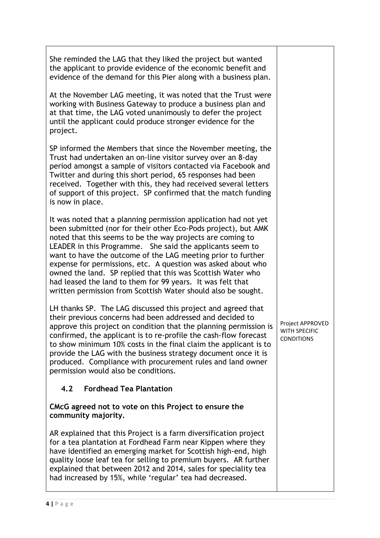| She reminded the LAG that they liked the project but wanted<br>the applicant to provide evidence of the economic benefit and<br>evidence of the demand for this Pier along with a business plan.                                                                                                                                                                                                                                                                                                                                                                                           |                                                        |
|--------------------------------------------------------------------------------------------------------------------------------------------------------------------------------------------------------------------------------------------------------------------------------------------------------------------------------------------------------------------------------------------------------------------------------------------------------------------------------------------------------------------------------------------------------------------------------------------|--------------------------------------------------------|
| At the November LAG meeting, it was noted that the Trust were<br>working with Business Gateway to produce a business plan and<br>at that time, the LAG voted unanimously to defer the project<br>until the applicant could produce stronger evidence for the<br>project.                                                                                                                                                                                                                                                                                                                   |                                                        |
| SP informed the Members that since the November meeting, the<br>Trust had undertaken an on-line visitor survey over an 8-day<br>period amongst a sample of visitors contacted via Facebook and<br>Twitter and during this short period, 65 responses had been<br>received. Together with this, they had received several letters<br>of support of this project. SP confirmed that the match funding<br>is now in place.                                                                                                                                                                    |                                                        |
| It was noted that a planning permission application had not yet<br>been submitted (nor for their other Eco-Pods project), but AMK<br>noted that this seems to be the way projects are coming to<br>LEADER in this Programme. She said the applicants seem to<br>want to have the outcome of the LAG meeting prior to further<br>expense for permissions, etc. A question was asked about who<br>owned the land. SP replied that this was Scottish Water who<br>had leased the land to them for 99 years. It was felt that<br>written permission from Scottish Water should also be sought. |                                                        |
| LH thanks SP. The LAG discussed this project and agreed that<br>their previous concerns had been addressed and decided to<br>approve this project on condition that the planning permission is<br>confirmed, the applicant is to re-profile the cash-flow forecast<br>to show minimum 10% costs in the final claim the applicant is to<br>provide the LAG with the business strategy document once it is<br>produced. Compliance with procurement rules and land owner<br>permission would also be conditions.                                                                             | Project APPROVED<br>WITH SPECIFIC<br><b>CONDITIONS</b> |
| <b>Fordhead Tea Plantation</b><br>4.2                                                                                                                                                                                                                                                                                                                                                                                                                                                                                                                                                      |                                                        |
| CMcG agreed not to vote on this Project to ensure the<br>community majority.                                                                                                                                                                                                                                                                                                                                                                                                                                                                                                               |                                                        |
| AR explained that this Project is a farm diversification project<br>for a tea plantation at Fordhead Farm near Kippen where they<br>have identified an emerging market for Scottish high-end, high<br>quality loose leaf tea for selling to premium buyers. AR further<br>explained that between 2012 and 2014, sales for speciality tea<br>had increased by 15%, while 'regular' tea had decreased.                                                                                                                                                                                       |                                                        |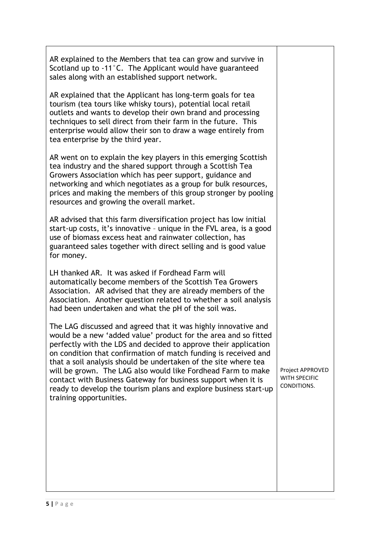|            | AR explained to the Members that tea can grow and survive in<br>Scotland up to -11°C. The Applicant would have guaranteed<br>sales along with an established support network.                                                                                                                                                                                                                                                                                                                                                                                              |                                                  |
|------------|----------------------------------------------------------------------------------------------------------------------------------------------------------------------------------------------------------------------------------------------------------------------------------------------------------------------------------------------------------------------------------------------------------------------------------------------------------------------------------------------------------------------------------------------------------------------------|--------------------------------------------------|
|            | AR explained that the Applicant has long-term goals for tea<br>tourism (tea tours like whisky tours), potential local retail<br>outlets and wants to develop their own brand and processing<br>techniques to sell direct from their farm in the future. This<br>enterprise would allow their son to draw a wage entirely from<br>tea enterprise by the third year.                                                                                                                                                                                                         |                                                  |
|            | AR went on to explain the key players in this emerging Scottish<br>tea industry and the shared support through a Scottish Tea<br>Growers Association which has peer support, guidance and<br>networking and which negotiates as a group for bulk resources,<br>prices and making the members of this group stronger by pooling<br>resources and growing the overall market.                                                                                                                                                                                                |                                                  |
| for money. | AR advised that this farm diversification project has low initial<br>start-up costs, it's innovative - unique in the FVL area, is a good<br>use of biomass excess heat and rainwater collection, has<br>guaranteed sales together with direct selling and is good value                                                                                                                                                                                                                                                                                                    |                                                  |
|            | LH thanked AR. It was asked if Fordhead Farm will<br>automatically become members of the Scottish Tea Growers<br>Association. AR advised that they are already members of the<br>Association. Another question related to whether a soil analysis<br>had been undertaken and what the pH of the soil was.                                                                                                                                                                                                                                                                  |                                                  |
|            | The LAG discussed and agreed that it was highly innovative and<br>would be a new 'added value' product for the area and so fitted<br>perfectly with the LDS and decided to approve their application<br>on condition that confirmation of match funding is received and<br>that a soil analysis should be undertaken of the site where tea<br>will be grown. The LAG also would like Fordhead Farm to make<br>contact with Business Gateway for business support when it is<br>ready to develop the tourism plans and explore business start-up<br>training opportunities. | Project APPROVED<br>WITH SPECIFIC<br>CONDITIONS. |
|            |                                                                                                                                                                                                                                                                                                                                                                                                                                                                                                                                                                            |                                                  |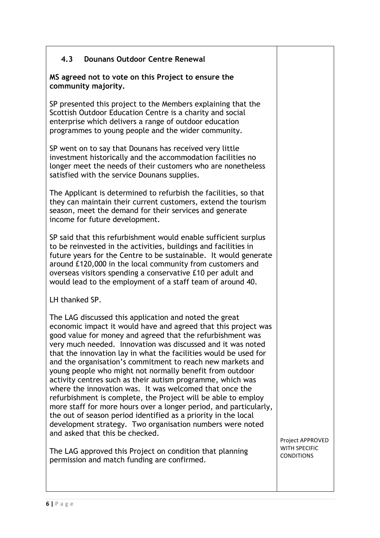# 4.3 Dounans Outdoor Centre Renewal

MS agreed not to vote on this Project to ensure the community majority.

SP presented this project to the Members explaining that the Scottish Outdoor Education Centre is a charity and social enterprise which delivers a range of outdoor education programmes to young people and the wider community.

SP went on to say that Dounans has received very little investment historically and the accommodation facilities no longer meet the needs of their customers who are nonetheless satisfied with the service Dounans supplies.

The Applicant is determined to refurbish the facilities, so that they can maintain their current customers, extend the tourism season, meet the demand for their services and generate income for future development.

SP said that this refurbishment would enable sufficient surplus to be reinvested in the activities, buildings and facilities in future years for the Centre to be sustainable. It would generate around £120,000 in the local community from customers and overseas visitors spending a conservative £10 per adult and would lead to the employment of a staff team of around 40.

LH thanked SP.

The LAG discussed this application and noted the great economic impact it would have and agreed that this project was good value for money and agreed that the refurbishment was very much needed. Innovation was discussed and it was noted that the innovation lay in what the facilities would be used for and the organisation's commitment to reach new markets and young people who might not normally benefit from outdoor activity centres such as their autism programme, which was where the innovation was. It was welcomed that once the refurbishment is complete, the Project will be able to employ more staff for more hours over a longer period, and particularly, the out of season period identified as a priority in the local development strategy. Two organisation numbers were noted and asked that this be checked.

The LAG approved this Project on condition that planning permission and match funding are confirmed.

Project APPROVED WITH SPECIFIC **CONDITIONS**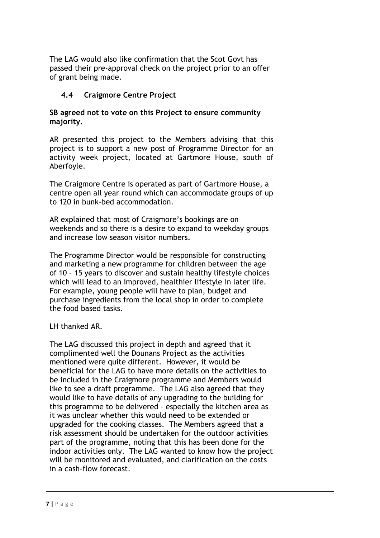The LAG would also like confirmation that the Scot Govt has passed their pre-approval check on the project prior to an offer of grant being made.

# 4.4 Craigmore Centre Project

SB agreed not to vote on this Project to ensure community majority.

AR presented this project to the Members advising that this project is to support a new post of Programme Director for an activity week project, located at Gartmore House, south of Aberfoyle.

The Craigmore Centre is operated as part of Gartmore House, a centre open all year round which can accommodate groups of up to 120 in bunk-bed accommodation.

AR explained that most of Craigmore's bookings are on weekends and so there is a desire to expand to weekday groups and increase low season visitor numbers.

The Programme Director would be responsible for constructing and marketing a new programme for children between the age of 10 – 15 years to discover and sustain healthy lifestyle choices which will lead to an improved, healthier lifestyle in later life. For example, young people will have to plan, budget and purchase ingredients from the local shop in order to complete the food based tasks.

LH thanked AR.

The LAG discussed this project in depth and agreed that it complimented well the Dounans Project as the activities mentioned were quite different. However, it would be beneficial for the LAG to have more details on the activities to be included in the Craigmore programme and Members would like to see a draft programme. The LAG also agreed that they would like to have details of any upgrading to the building for this programme to be delivered – especially the kitchen area as it was unclear whether this would need to be extended or upgraded for the cooking classes. The Members agreed that a risk assessment should be undertaken for the outdoor activities part of the programme, noting that this has been done for the indoor activities only. The LAG wanted to know how the project will be monitored and evaluated, and clarification on the costs in a cash-flow forecast.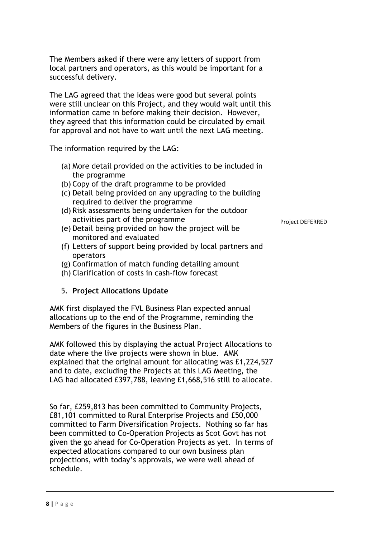| The Members asked if there were any letters of support from<br>local partners and operators, as this would be important for a<br>successful delivery.                                                                                                                                                                                                                                                                                                                                                                                                                                                    |                  |
|----------------------------------------------------------------------------------------------------------------------------------------------------------------------------------------------------------------------------------------------------------------------------------------------------------------------------------------------------------------------------------------------------------------------------------------------------------------------------------------------------------------------------------------------------------------------------------------------------------|------------------|
| The LAG agreed that the ideas were good but several points<br>were still unclear on this Project, and they would wait until this<br>information came in before making their decision. However,<br>they agreed that this information could be circulated by email<br>for approval and not have to wait until the next LAG meeting.                                                                                                                                                                                                                                                                        |                  |
| The information required by the LAG:                                                                                                                                                                                                                                                                                                                                                                                                                                                                                                                                                                     |                  |
| (a) More detail provided on the activities to be included in<br>the programme<br>(b) Copy of the draft programme to be provided<br>(c) Detail being provided on any upgrading to the building<br>required to deliver the programme<br>(d) Risk assessments being undertaken for the outdoor<br>activities part of the programme<br>(e) Detail being provided on how the project will be<br>monitored and evaluated<br>(f) Letters of support being provided by local partners and<br>operators<br>(g) Confirmation of match funding detailing amount<br>(h) Clarification of costs in cash-flow forecast | Project DEFERRED |
| 5. Project Allocations Update                                                                                                                                                                                                                                                                                                                                                                                                                                                                                                                                                                            |                  |
| AMK first displayed the FVL Business Plan expected annual<br>allocations up to the end of the Programme, reminding the<br>Members of the figures in the Business Plan.                                                                                                                                                                                                                                                                                                                                                                                                                                   |                  |
| AMK followed this by displaying the actual Project Allocations to<br>date where the live projects were shown in blue. AMK<br>explained that the original amount for allocating was £1,224,527<br>and to date, excluding the Projects at this LAG Meeting, the<br>LAG had allocated £397,788, leaving £1,668,516 still to allocate.                                                                                                                                                                                                                                                                       |                  |
| So far, £259,813 has been committed to Community Projects,<br>£81,101 committed to Rural Enterprise Projects and £50,000<br>committed to Farm Diversification Projects. Nothing so far has<br>been committed to Co-Operation Projects as Scot Govt has not<br>given the go ahead for Co-Operation Projects as yet. In terms of<br>expected allocations compared to our own business plan<br>projections, with today's approvals, we were well ahead of<br>schedule.                                                                                                                                      |                  |